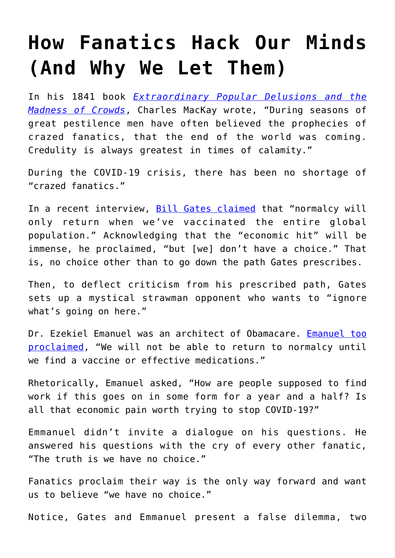## **[How Fanatics Hack Our Minds](https://intellectualtakeout.org/2020/04/how-fanatics-hack-our-minds-and-why-we-let-them/) [\(And Why We Let Them\)](https://intellectualtakeout.org/2020/04/how-fanatics-hack-our-minds-and-why-we-let-them/)**

In his 1841 book *[Extraordinary Popular Delusions and the](https://www.gutenberg.org/files/24518/24518-h/24518-h.htm) [Madness of Crowds](https://www.gutenberg.org/files/24518/24518-h/24518-h.htm)*, Charles MacKay wrote, "During seasons of great pestilence men have often believed the prophecies of crazed fanatics, that the end of the world was coming. Credulity is always greatest in times of calamity."

During the COVID-19 crisis, there has been no shortage of "crazed fanatics."

In a recent interview, [Bill Gates claimed](https://www.youtube.com/watch?v=xUChdrL6Cd8) that "normalcy will only return when we've vaccinated the entire global population." Acknowledging that the "economic hit" will be immense, he proclaimed, "but [we] don't have a choice." That is, no choice other than to go down the path Gates prescribes.

Then, to deflect criticism from his prescribed path, Gates sets up a mystical strawman opponent who wants to "ignore what's going on here."

Dr. Ezekiel Emanuel was an architect of Obamacare. [Emanuel too](https://www.realclearpolitics.com/video/2020/04/07/ezekiel_emanuel_us_must_stay_locked_down_for_12-18_months_until_theres_a_vaccine.html) [proclaimed,](https://www.realclearpolitics.com/video/2020/04/07/ezekiel_emanuel_us_must_stay_locked_down_for_12-18_months_until_theres_a_vaccine.html) "We will not be able to return to normalcy until we find a vaccine or effective medications."

Rhetorically, Emanuel asked, "How are people supposed to find work if this goes on in some form for a year and a half? Is all that economic pain worth trying to stop COVID-19?"

Emmanuel didn't invite a dialogue on his questions. He answered his questions with the cry of every other fanatic, "The truth is we have no choice."

Fanatics proclaim their way is the only way forward and want us to believe "we have no choice."

Notice, Gates and Emmanuel present a false dilemma, two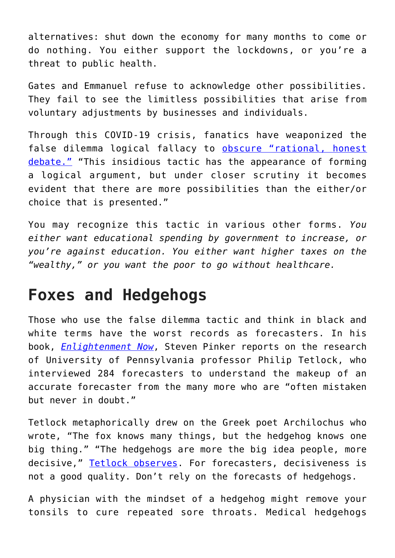alternatives: shut down the economy for many months to come or do nothing. You either support the lockdowns, or you're a threat to public health.

Gates and Emmanuel refuse to acknowledge other possibilities. They fail to see the limitless possibilities that arise from voluntary adjustments by businesses and individuals.

Through this COVID-19 crisis, fanatics have weaponized the false dilemma logical fallacy to [obscure "rational, honest](https://yourlogicalfallacyis.com/black-or-white) [debate."](https://yourlogicalfallacyis.com/black-or-white) "This insidious tactic has the appearance of forming a logical argument, but under closer scrutiny it becomes evident that there are more possibilities than the either/or choice that is presented."

You may recognize this tactic in various other forms. *You either want educational spending by government to increase, or you're against education. You either want higher taxes on the "wealthy," or you want the poor to go without healthcare.*

## **Foxes and Hedgehogs**

Those who use the false dilemma tactic and think in black and white terms have the worst records as forecasters. In his book, *[Enlightenment Now](https://www.amazon.com/Enlightenment-Now-Science-Humanism-Progress/dp/0143111388)*, Steven Pinker reports on the research of University of Pennsylvania professor Philip Tetlock, who interviewed 284 forecasters to understand the makeup of an accurate forecaster from the many more who are "often mistaken but never in doubt."

Tetlock metaphorically drew on the Greek poet Archilochus who wrote, "The fox knows many things, but the hedgehog knows one big thing." "The hedgehogs are more the big idea people, more decisive," [Tetlock observes.](https://www.npr.org/2019/07/08/739502013/the-fox-and-the-hedgehog-a-story-of-triumphs-and-tragedy) For forecasters, decisiveness is not a good quality. Don't rely on the forecasts of hedgehogs.

A physician with the mindset of a hedgehog might remove your tonsils to cure repeated sore throats. Medical hedgehogs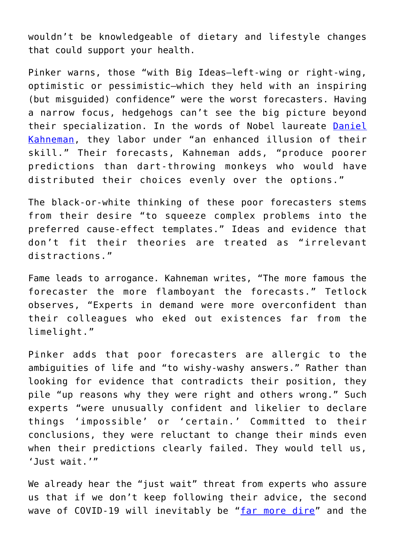wouldn't be knowledgeable of dietary and lifestyle changes that could support your health.

Pinker warns, those "with Big Ideas—left-wing or right-wing, optimistic or pessimistic—which they held with an inspiring (but misguided) confidence" were the worst forecasters. Having a narrow focus, hedgehogs can't see the big picture beyond their specialization. In the words of Nobel laureate [Daniel](https://www.amazon.com/Thinking-Fast-Slow-Daniel-Kahneman/dp/0374533555) [Kahneman](https://www.amazon.com/Thinking-Fast-Slow-Daniel-Kahneman/dp/0374533555), they labor under "an enhanced illusion of their skill." Their forecasts, Kahneman adds, "produce poorer predictions than dart-throwing monkeys who would have distributed their choices evenly over the options."

The black-or-white thinking of these poor forecasters stems from their desire "to squeeze complex problems into the preferred cause-effect templates." Ideas and evidence that don't fit their theories are treated as "irrelevant distractions."

Fame leads to arrogance. Kahneman writes, "The more famous the forecaster the more flamboyant the forecasts." Tetlock observes, "Experts in demand were more overconfident than their colleagues who eked out existences far from the limelight."

Pinker adds that poor forecasters are allergic to the ambiguities of life and "to wishy-washy answers." Rather than looking for evidence that contradicts their position, they pile "up reasons why they were right and others wrong." Such experts "were unusually confident and likelier to declare things 'impossible' or 'certain.' Committed to their conclusions, they were reluctant to change their minds even when their predictions clearly failed. They would tell us, 'Just wait.'"

We already hear the "just wait" threat from experts who assure us that if we don't keep following their advice, the second wave of COVID-19 will inevitably be "[far more dire"](https://www.msn.com/en-us/health/other/cdc-director-warns-second-wave-of-coronavirus-this-winter-could-be-worse/ar-BB1304st?ocid=msedgntp%C2%A0%C2%A0) and the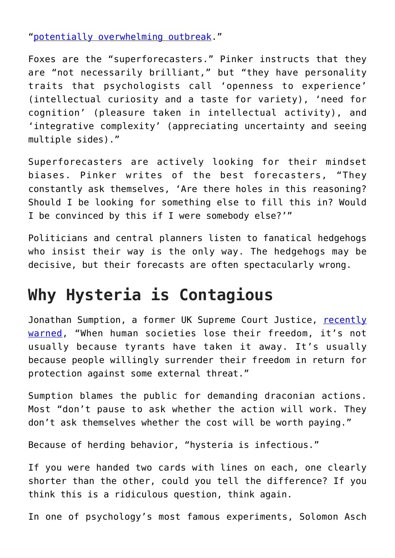"[potentially overwhelming outbreak.](https://www.mirror.co.uk/news/world-news/coronavirus-who-warns-people-need-21899534)"

Foxes are the "superforecasters." Pinker instructs that they are "not necessarily brilliant," but "they have personality traits that psychologists call 'openness to experience' (intellectual curiosity and a taste for variety), 'need for cognition' (pleasure taken in intellectual activity), and 'integrative complexity' (appreciating uncertainty and seeing multiple sides)."

Superforecasters are actively looking for their mindset biases. Pinker writes of the best forecasters, "They constantly ask themselves, 'Are there holes in this reasoning? Should I be looking for something else to fill this in? Would I be convinced by this if I were somebody else?'"

Politicians and central planners listen to fanatical hedgehogs who insist their way is the only way. The hedgehogs may be decisive, but their forecasts are often spectacularly wrong.

## **Why Hysteria is Contagious**

Jonathan Sumption, a former UK Supreme Court Justice, [recently](https://www.spectator.co.uk/article/former-supreme-court-justice-this-is-what-a-police-state-is-like-?fbclid=IwAR0Okk6gvvILDWOfu4pyr-4otqInNOvIjTh28mgtQJa1_zUUmqcu-PX-UeY) [warned](https://www.spectator.co.uk/article/former-supreme-court-justice-this-is-what-a-police-state-is-like-?fbclid=IwAR0Okk6gvvILDWOfu4pyr-4otqInNOvIjTh28mgtQJa1_zUUmqcu-PX-UeY), "When human societies lose their freedom, it's not usually because tyrants have taken it away. It's usually because people willingly surrender their freedom in return for protection against some external threat."

Sumption blames the public for demanding draconian actions. Most "don't pause to ask whether the action will work. They don't ask themselves whether the cost will be worth paying."

Because of herding behavior, "hysteria is infectious."

If you were handed two cards with lines on each, one clearly shorter than the other, could you tell the difference? If you think this is a ridiculous question, think again.

In one of psychology's most famous experiments, Solomon Asch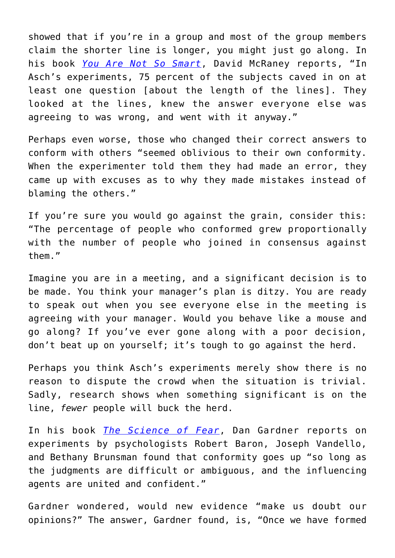showed that if you're in a group and most of the group members claim the shorter line is longer, you might just go along. In his book *[You Are Not So Smart](https://www.amazon.com/You-Are-Not-So-Smart/dp/1592407366)*, David McRaney reports, "In Asch's experiments, 75 percent of the subjects caved in on at least one question [about the length of the lines]. They looked at the lines, knew the answer everyone else was agreeing to was wrong, and went with it anyway."

Perhaps even worse, those who changed their correct answers to conform with others "seemed oblivious to their own conformity. When the experimenter told them they had made an error, they came up with excuses as to why they made mistakes instead of blaming the others."

If you're sure you would go against the grain, consider this: "The percentage of people who conformed grew proportionally with the number of people who joined in consensus against them."

Imagine you are in a meeting, and a significant decision is to be made. You think your manager's plan is ditzy. You are ready to speak out when you see everyone else in the meeting is agreeing with your manager. Would you behave like a mouse and go along? If you've ever gone along with a poor decision, don't beat up on yourself; it's tough to go against the herd.

Perhaps you think Asch's experiments merely show there is no reason to dispute the crowd when the situation is trivial. Sadly, research shows when something significant is on the line, *fewer* people will buck the herd.

In his book *[The Science of Fear](https://www.amazon.com/Science-Fear-Culture-Manipulates-Brain/dp/0452295467)*, Dan Gardner reports on experiments by psychologists Robert Baron, Joseph Vandello, and Bethany Brunsman found that conformity goes up "so long as the judgments are difficult or ambiguous, and the influencing agents are united and confident."

Gardner wondered, would new evidence "make us doubt our opinions?" The answer, Gardner found, is, "Once we have formed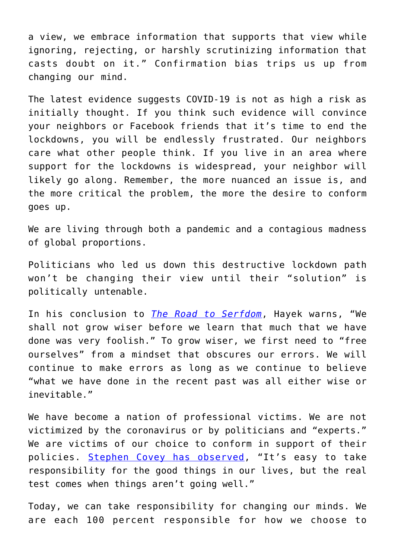a view, we embrace information that supports that view while ignoring, rejecting, or harshly scrutinizing information that casts doubt on it." Confirmation bias trips us up from changing our mind.

The latest evidence suggests COVID-19 is not as high a risk as initially thought. If you think such evidence will convince your neighbors or Facebook friends that it's time to end the lockdowns, you will be endlessly frustrated. Our neighbors care what other people think. If you live in an area where support for the lockdowns is widespread, your neighbor will likely go along. Remember, the more nuanced an issue is, and the more critical the problem, the more the desire to conform goes up.

We are living through both a pandemic and a contagious madness of global proportions.

Politicians who led us down this destructive lockdown path won't be changing their view until their "solution" is politically untenable.

In his conclusion to *[The Road to Serfdom](https://www.amazon.com/Road-Serfdom-Documents-Definitive-Collected/dp/0226320553)*, Hayek warns, "We shall not grow wiser before we learn that much that we have done was very foolish." To grow wiser, we first need to "free ourselves" from a mindset that obscures our errors. We will continue to make errors as long as we continue to believe "what we have done in the recent past was all either wise or inevitable."

We have become a nation of professional victims. We are not victimized by the coronavirus or by politicians and "experts." We are victims of our choice to conform in support of their policies. [Stephen Covey has observed,](https://www.amazon.com/Primary-Greatness-12-Levers-Success/dp/1501106589) "It's easy to take responsibility for the good things in our lives, but the real test comes when things aren't going well."

Today, we can take responsibility for changing our minds. We are each 100 percent responsible for how we choose to